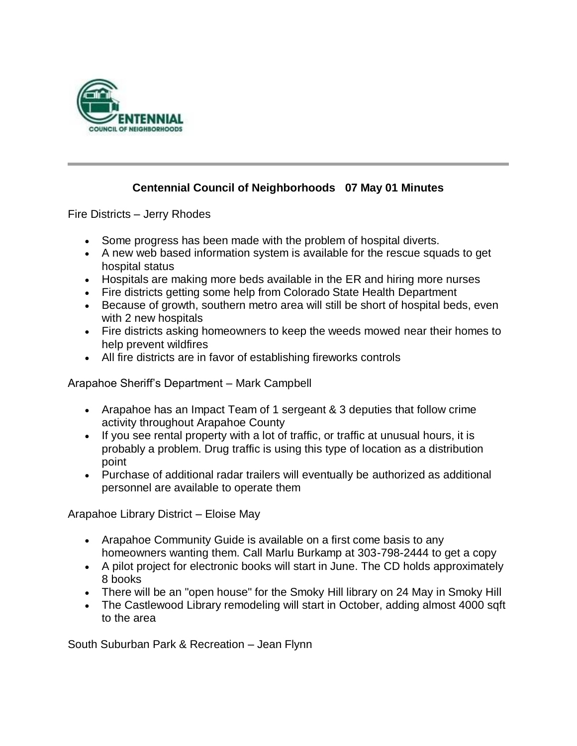

## **Centennial Council of Neighborhoods 07 May 01 Minutes**

Fire Districts – Jerry Rhodes

- Some progress has been made with the problem of hospital diverts.
- A new web based information system is available for the rescue squads to get hospital status
- Hospitals are making more beds available in the ER and hiring more nurses
- Fire districts getting some help from Colorado State Health Department
- Because of growth, southern metro area will still be short of hospital beds, even with 2 new hospitals
- Fire districts asking homeowners to keep the weeds mowed near their homes to help prevent wildfires
- All fire districts are in favor of establishing fireworks controls

Arapahoe Sheriff's Department – Mark Campbell

- Arapahoe has an Impact Team of 1 sergeant & 3 deputies that follow crime activity throughout Arapahoe County
- If you see rental property with a lot of traffic, or traffic at unusual hours, it is probably a problem. Drug traffic is using this type of location as a distribution point
- Purchase of additional radar trailers will eventually be authorized as additional personnel are available to operate them

Arapahoe Library District – Eloise May

- Arapahoe Community Guide is available on a first come basis to any homeowners wanting them. Call Marlu Burkamp at 303-798-2444 to get a copy
- A pilot project for electronic books will start in June. The CD holds approximately 8 books
- There will be an "open house" for the Smoky Hill library on 24 May in Smoky Hill
- The Castlewood Library remodeling will start in October, adding almost 4000 sqft to the area

South Suburban Park & Recreation – Jean Flynn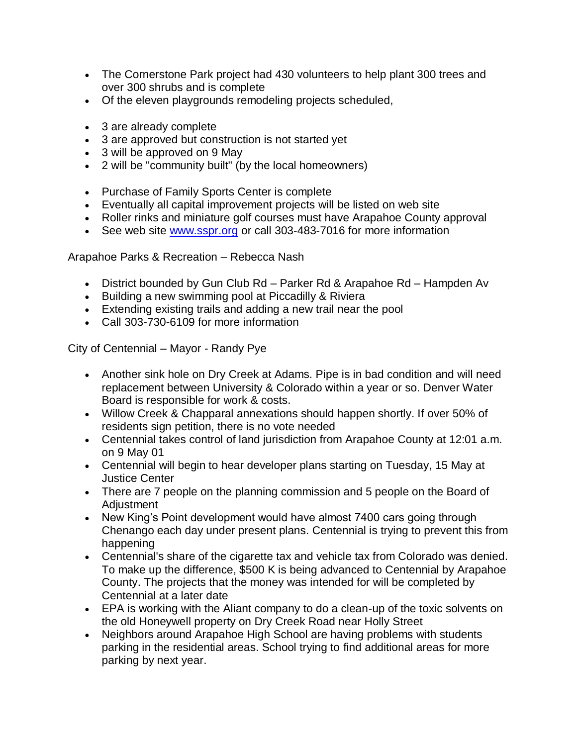- The Cornerstone Park project had 430 volunteers to help plant 300 trees and over 300 shrubs and is complete
- Of the eleven playgrounds remodeling projects scheduled,
- 3 are already complete
- 3 are approved but construction is not started yet
- 3 will be approved on 9 May
- 2 will be "community built" (by the local homeowners)
- Purchase of Family Sports Center is complete
- Eventually all capital improvement projects will be listed on web site
- Roller rinks and miniature golf courses must have Arapahoe County approval
- See web site [www.sspr.org](http://www.sspr.org/) or call 303-483-7016 for more information

Arapahoe Parks & Recreation – Rebecca Nash

- District bounded by Gun Club Rd Parker Rd & Arapahoe Rd Hampden Av
- Building a new swimming pool at Piccadilly & Riviera
- Extending existing trails and adding a new trail near the pool
- Call 303-730-6109 for more information

City of Centennial – Mayor - Randy Pye

- Another sink hole on Dry Creek at Adams. Pipe is in bad condition and will need replacement between University & Colorado within a year or so. Denver Water Board is responsible for work & costs.
- Willow Creek & Chapparal annexations should happen shortly. If over 50% of residents sign petition, there is no vote needed
- Centennial takes control of land jurisdiction from Arapahoe County at 12:01 a.m. on 9 May 01
- Centennial will begin to hear developer plans starting on Tuesday, 15 May at Justice Center
- There are 7 people on the planning commission and 5 people on the Board of Adjustment
- New King's Point development would have almost 7400 cars going through Chenango each day under present plans. Centennial is trying to prevent this from happening
- Centennial's share of the cigarette tax and vehicle tax from Colorado was denied. To make up the difference, \$500 K is being advanced to Centennial by Arapahoe County. The projects that the money was intended for will be completed by Centennial at a later date
- EPA is working with the Aliant company to do a clean-up of the toxic solvents on the old Honeywell property on Dry Creek Road near Holly Street
- Neighbors around Arapahoe High School are having problems with students parking in the residential areas. School trying to find additional areas for more parking by next year.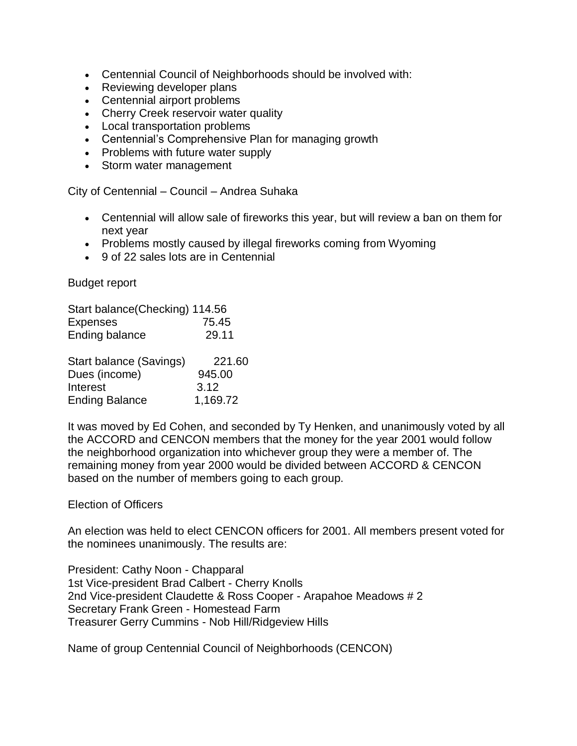- Centennial Council of Neighborhoods should be involved with:
- Reviewing developer plans
- Centennial airport problems
- Cherry Creek reservoir water quality
- Local transportation problems
- Centennial's Comprehensive Plan for managing growth
- Problems with future water supply
- Storm water management

City of Centennial – Council – Andrea Suhaka

- Centennial will allow sale of fireworks this year, but will review a ban on them for next year
- Problems mostly caused by illegal fireworks coming from Wyoming
- 9 of 22 sales lots are in Centennial

Budget report

| Start balance(Checking) 114.56 |          |
|--------------------------------|----------|
| <b>Expenses</b>                | 75.45    |
| <b>Ending balance</b>          | 29.11    |
| Start balance (Savings)        | 221.60   |
| Dues (income)                  | 945.00   |
| Interest                       | 3.12     |
| <b>Ending Balance</b>          | 1,169.72 |

It was moved by Ed Cohen, and seconded by Ty Henken, and unanimously voted by all the ACCORD and CENCON members that the money for the year 2001 would follow the neighborhood organization into whichever group they were a member of. The remaining money from year 2000 would be divided between ACCORD & CENCON based on the number of members going to each group.

## Election of Officers

An election was held to elect CENCON officers for 2001. All members present voted for the nominees unanimously. The results are:

President: Cathy Noon - Chapparal 1st Vice-president Brad Calbert - Cherry Knolls 2nd Vice-president Claudette & Ross Cooper - Arapahoe Meadows # 2 Secretary Frank Green - Homestead Farm Treasurer Gerry Cummins - Nob Hill/Ridgeview Hills

Name of group Centennial Council of Neighborhoods (CENCON)